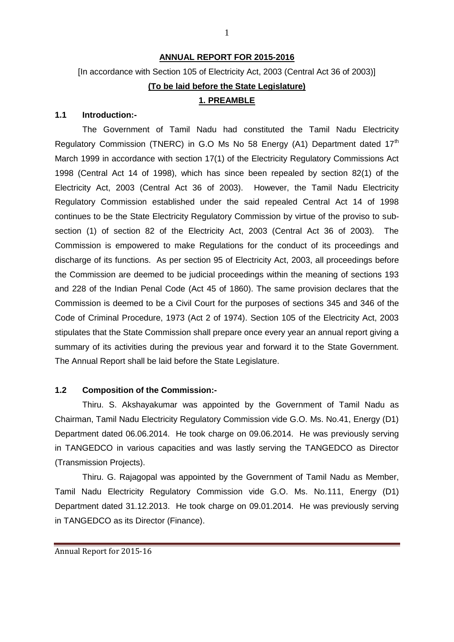### **ANNUAL REPORT FOR 2015-2016**

# [In accordance with Section 105 of Electricity Act, 2003 (Central Act 36 of 2003)] **(To be laid before the State Legislature) 1. PREAMBLE**

### **1.1 Introduction:-**

The Government of Tamil Nadu had constituted the Tamil Nadu Electricity Regulatory Commission (TNERC) in G.O Ms No 58 Energy (A1) Department dated  $17<sup>th</sup>$ March 1999 in accordance with section 17(1) of the Electricity Regulatory Commissions Act 1998 (Central Act 14 of 1998), which has since been repealed by section 82(1) of the Electricity Act, 2003 (Central Act 36 of 2003). However, the Tamil Nadu Electricity Regulatory Commission established under the said repealed Central Act 14 of 1998 continues to be the State Electricity Regulatory Commission by virtue of the proviso to subsection (1) of section 82 of the Electricity Act, 2003 (Central Act 36 of 2003). The Commission is empowered to make Regulations for the conduct of its proceedings and discharge of its functions. As per section 95 of Electricity Act, 2003, all proceedings before the Commission are deemed to be judicial proceedings within the meaning of sections 193 and 228 of the Indian Penal Code (Act 45 of 1860). The same provision declares that the Commission is deemed to be a Civil Court for the purposes of sections 345 and 346 of the Code of Criminal Procedure, 1973 (Act 2 of 1974). Section 105 of the Electricity Act, 2003 stipulates that the State Commission shall prepare once every year an annual report giving a summary of its activities during the previous year and forward it to the State Government. The Annual Report shall be laid before the State Legislature.

### **1.2 Composition of the Commission:-**

Thiru. S. Akshayakumar was appointed by the Government of Tamil Nadu as Chairman, Tamil Nadu Electricity Regulatory Commission vide G.O. Ms. No.41, Energy (D1) Department dated 06.06.2014. He took charge on 09.06.2014. He was previously serving in TANGEDCO in various capacities and was lastly serving the TANGEDCO as Director (Transmission Projects).

Thiru. G. Rajagopal was appointed by the Government of Tamil Nadu as Member, Tamil Nadu Electricity Regulatory Commission vide G.O. Ms. No.111, Energy (D1) Department dated 31.12.2013. He took charge on 09.01.2014. He was previously serving in TANGEDCO as its Director (Finance).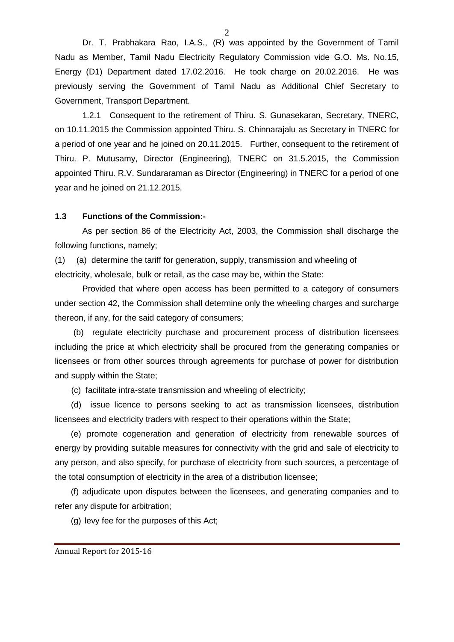Dr. T. Prabhakara Rao, I.A.S., (R) was appointed by the Government of Tamil Nadu as Member, Tamil Nadu Electricity Regulatory Commission vide G.O. Ms. No.15, Energy (D1) Department dated 17.02.2016. He took charge on 20.02.2016. He was previously serving the Government of Tamil Nadu as Additional Chief Secretary to Government, Transport Department.

1.2.1 Consequent to the retirement of Thiru. S. Gunasekaran, Secretary, TNERC, on 10.11.2015 the Commission appointed Thiru. S. Chinnarajalu as Secretary in TNERC for a period of one year and he joined on 20.11.2015. Further, consequent to the retirement of Thiru. P. Mutusamy, Director (Engineering), TNERC on 31.5.2015, the Commission appointed Thiru. R.V. Sundararaman as Director (Engineering) in TNERC for a period of one year and he joined on 21.12.2015.

#### **1.3 Functions of the Commission:-**

As per section 86 of the Electricity Act, 2003, the Commission shall discharge the following functions, namely;

(1) (a) determine the tariff for generation, supply, transmission and wheeling of electricity, wholesale, bulk or retail, as the case may be, within the State:

Provided that where open access has been permitted to a category of consumers under section 42, the Commission shall determine only the wheeling charges and surcharge thereon, if any, for the said category of consumers;

 (b) regulate electricity purchase and procurement process of distribution licensees including the price at which electricity shall be procured from the generating companies or licensees or from other sources through agreements for purchase of power for distribution and supply within the State;

(c) facilitate intra-state transmission and wheeling of electricity;

 (d) issue licence to persons seeking to act as transmission licensees, distribution licensees and electricity traders with respect to their operations within the State;

(e) promote cogeneration and generation of electricity from renewable sources of energy by providing suitable measures for connectivity with the grid and sale of electricity to any person, and also specify, for purchase of electricity from such sources, a percentage of the total consumption of electricity in the area of a distribution licensee;

(f) adjudicate upon disputes between the licensees, and generating companies and to refer any dispute for arbitration;

(g) levy fee for the purposes of this Act;

 $\mathcal{D}$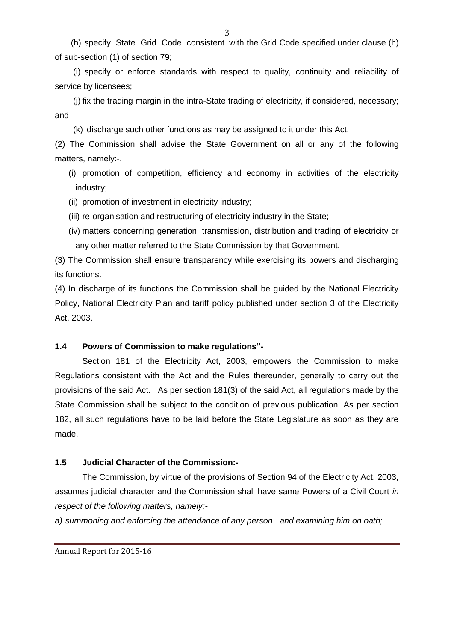(h) specify State Grid Code consistent with the Grid Code specified under clause (h) of sub-section (1) of section 79;

(i) specify or enforce standards with respect to quality, continuity and reliability of service by licensees;

(j) fix the trading margin in the intra-State trading of electricity, if considered, necessary; and

(k) discharge such other functions as may be assigned to it under this Act.

(2) The Commission shall advise the State Government on all or any of the following matters, namely:-.

- (i) promotion of competition, efficiency and economy in activities of the electricity industry;
- (ii) promotion of investment in electricity industry;
- (iii) re-organisation and restructuring of electricity industry in the State;
- (iv) matters concerning generation, transmission, distribution and trading of electricity or any other matter referred to the State Commission by that Government.

(3) The Commission shall ensure transparency while exercising its powers and discharging its functions.

(4) In discharge of its functions the Commission shall be guided by the National Electricity Policy, National Electricity Plan and tariff policy published under section 3 of the Electricity Act, 2003.

# **1.4 Powers of Commission to make regulations"-**

Section 181 of the Electricity Act, 2003, empowers the Commission to make Regulations consistent with the Act and the Rules thereunder, generally to carry out the provisions of the said Act. As per section 181(3) of the said Act, all regulations made by the State Commission shall be subject to the condition of previous publication. As per section 182, all such regulations have to be laid before the State Legislature as soon as they are made.

# **1.5 Judicial Character of the Commission:-**

The Commission, by virtue of the provisions of Section 94 of the Electricity Act, 2003, assumes judicial character and the Commission shall have same Powers of a Civil Court *in respect of the following matters, namely:-*

*a) summoning and enforcing the attendance of any person and examining him on oath;*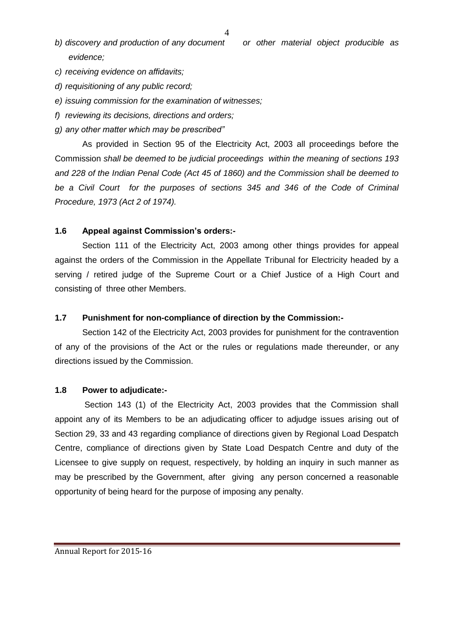- *b) discovery and production of any document or other material object producible as evidence;*
- *c) receiving evidence on affidavits;*
- *d) requisitioning of any public record;*
- *e) issuing commission for the examination of witnesses;*
- *f) reviewing its decisions, directions and orders;*
- *g) any other matter which may be prescribed"*

As provided in Section 95 of the Electricity Act, 2003 all proceedings before the Commission *shall be deemed to be judicial proceedings within the meaning of sections 193 and 228 of the Indian Penal Code (Act 45 of 1860) and the Commission shall be deemed to be a Civil Court for the purposes of sections 345 and 346 of the Code of Criminal Procedure, 1973 (Act 2 of 1974).*

#### **1.6 Appeal against Commission's orders:-**

Section 111 of the Electricity Act, 2003 among other things provides for appeal against the orders of the Commission in the Appellate Tribunal for Electricity headed by a serving / retired judge of the Supreme Court or a Chief Justice of a High Court and consisting of three other Members.

#### **1.7 Punishment for non-compliance of direction by the Commission:-**

Section 142 of the Electricity Act, 2003 provides for punishment for the contravention of any of the provisions of the Act or the rules or regulations made thereunder, or any directions issued by the Commission.

#### **1.8 Power to adjudicate:-**

Section 143 (1) of the Electricity Act, 2003 provides that the Commission shall appoint any of its Members to be an adjudicating officer to adjudge issues arising out of Section 29, 33 and 43 regarding compliance of directions given by Regional Load Despatch Centre, compliance of directions given by State Load Despatch Centre and duty of the Licensee to give supply on request, respectively, by holding an inquiry in such manner as may be prescribed by the Government, after giving any person concerned a reasonable opportunity of being heard for the purpose of imposing any penalty.

Annual Report for 2015-16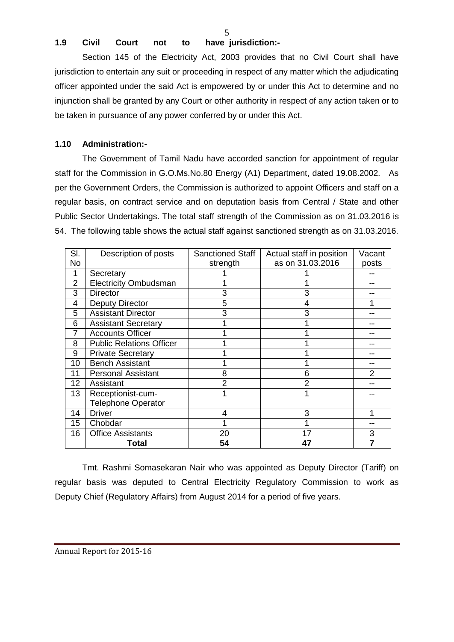5

### **1.9 Civil Court not to have jurisdiction:-**

Section 145 of the Electricity Act, 2003 provides that no Civil Court shall have jurisdiction to entertain any suit or proceeding in respect of any matter which the adjudicating officer appointed under the said Act is empowered by or under this Act to determine and no injunction shall be granted by any Court or other authority in respect of any action taken or to be taken in pursuance of any power conferred by or under this Act.

### **1.10 Administration:-**

The Government of Tamil Nadu have accorded sanction for appointment of regular staff for the Commission in G.O.Ms.No.80 Energy (A1) Department, dated 19.08.2002. As per the Government Orders, the Commission is authorized to appoint Officers and staff on a regular basis, on contract service and on deputation basis from Central / State and other Public Sector Undertakings. The total staff strength of the Commission as on 31.03.2016 is 54. The following table shows the actual staff against sanctioned strength as on 31.03.2016.

| SI.             | Description of posts            | <b>Sanctioned Staff</b> | Actual staff in position | Vacant |
|-----------------|---------------------------------|-------------------------|--------------------------|--------|
| No              |                                 | strength                | as on 31.03.2016         | posts  |
| 1               | Secretary                       |                         |                          |        |
| $\overline{2}$  | <b>Electricity Ombudsman</b>    |                         |                          |        |
| 3               | <b>Director</b>                 | 3                       | 3                        |        |
| 4               | <b>Deputy Director</b>          | 5                       |                          |        |
| 5               | <b>Assistant Director</b>       | 3                       | 3                        |        |
| 6               | <b>Assistant Secretary</b>      |                         |                          |        |
| $\overline{7}$  | <b>Accounts Officer</b>         |                         |                          |        |
| 8               | <b>Public Relations Officer</b> |                         |                          |        |
| 9               | <b>Private Secretary</b>        |                         |                          |        |
| 10              | <b>Bench Assistant</b>          |                         |                          |        |
| 11              | <b>Personal Assistant</b>       | 8                       | 6                        | 2      |
| 12 <sub>2</sub> | Assistant                       | 2                       | 2                        |        |
| 13              | Receptionist-cum-               | 1                       |                          |        |
|                 | <b>Telephone Operator</b>       |                         |                          |        |
| 14              | <b>Driver</b>                   | 4                       | 3                        |        |
| 15              | Chobdar                         |                         |                          |        |
| 16              | <b>Office Assistants</b>        | 20                      | 17                       | 3      |
|                 | Total                           | 54                      | 47                       |        |

Tmt. Rashmi Somasekaran Nair who was appointed as Deputy Director (Tariff) on regular basis was deputed to Central Electricity Regulatory Commission to work as Deputy Chief (Regulatory Affairs) from August 2014 for a period of five years.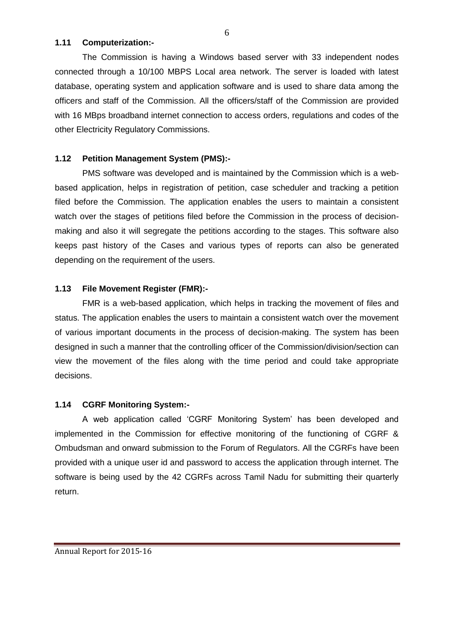### **1.11 Computerization:-**

The Commission is having a Windows based server with 33 independent nodes connected through a 10/100 MBPS Local area network. The server is loaded with latest database, operating system and application software and is used to share data among the officers and staff of the Commission. All the officers/staff of the Commission are provided with 16 MBps broadband internet connection to access orders, regulations and codes of the other Electricity Regulatory Commissions.

# **1.12 Petition Management System (PMS):-**

PMS software was developed and is maintained by the Commission which is a webbased application, helps in registration of petition, case scheduler and tracking a petition filed before the Commission. The application enables the users to maintain a consistent watch over the stages of petitions filed before the Commission in the process of decisionmaking and also it will segregate the petitions according to the stages. This software also keeps past history of the Cases and various types of reports can also be generated depending on the requirement of the users.

# **1.13 File Movement Register (FMR):-**

FMR is a web-based application, which helps in tracking the movement of files and status. The application enables the users to maintain a consistent watch over the movement of various important documents in the process of decision-making. The system has been designed in such a manner that the controlling officer of the Commission/division/section can view the movement of the files along with the time period and could take appropriate decisions.

# **1.14 CGRF Monitoring System:-**

A web application called 'CGRF Monitoring System' has been developed and implemented in the Commission for effective monitoring of the functioning of CGRF & Ombudsman and onward submission to the Forum of Regulators. All the CGRFs have been provided with a unique user id and password to access the application through internet. The software is being used by the 42 CGRFs across Tamil Nadu for submitting their quarterly return.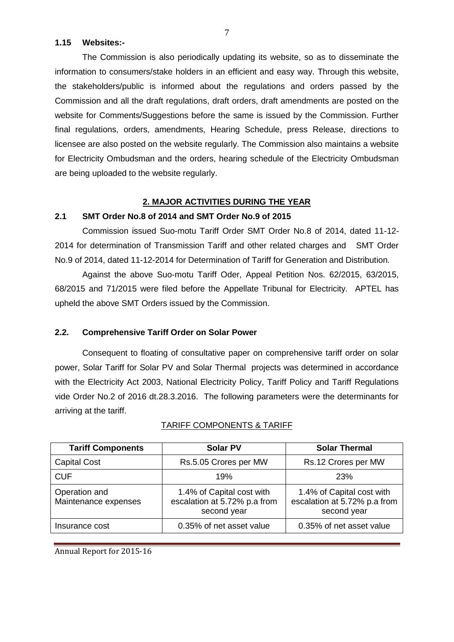#### **1.15 Websites:-**

The Commission is also periodically updating its website, so as to disseminate the information to consumers/stake holders in an efficient and easy way. Through this website, the stakeholders/public is informed about the regulations and orders passed by the Commission and all the draft regulations, draft orders, draft amendments are posted on the website for Comments/Suggestions before the same is issued by the Commission. Further final regulations, orders, amendments, Hearing Schedule, press Release, directions to licensee are also posted on the website regularly. The Commission also maintains a website for Electricity Ombudsman and the orders, hearing schedule of the Electricity Ombudsman are being uploaded to the website regularly.

### **2. MAJOR ACTIVITIES DURING THE YEAR**

### **2.1 SMT Order No.8 of 2014 and SMT Order No.9 of 2015**

Commission issued Suo-motu Tariff Order SMT Order No.8 of 2014, dated 11-12- 2014 for determination of Transmission Tariff and other related charges and SMT Order No.9 of 2014, dated 11-12-2014 for Determination of Tariff for Generation and Distribution.

Against the above Suo-motu Tariff Oder, Appeal Petition Nos. 62/2015, 63/2015, 68/2015 and 71/2015 were filed before the Appellate Tribunal for Electricity. APTEL has upheld the above SMT Orders issued by the Commission.

### **2.2. Comprehensive Tariff Order on Solar Power**

Consequent to floating of consultative paper on comprehensive tariff order on solar power, Solar Tariff for Solar PV and Solar Thermal projects was determined in accordance with the Electricity Act 2003, National Electricity Policy, Tariff Policy and Tariff Regulations vide Order No.2 of 2016 dt.28.3.2016. The following parameters were the determinants for arriving at the tariff.

| <b>Tariff Components</b>              | <b>Solar PV</b>                                                          | <b>Solar Thermal</b>                                                     |
|---------------------------------------|--------------------------------------------------------------------------|--------------------------------------------------------------------------|
| <b>Capital Cost</b>                   | Rs.5.05 Crores per MW                                                    | Rs.12 Crores per MW                                                      |
| <b>CUF</b>                            | 19%                                                                      | <b>23%</b>                                                               |
| Operation and<br>Maintenance expenses | 1.4% of Capital cost with<br>escalation at 5.72% p.a from<br>second year | 1.4% of Capital cost with<br>escalation at 5.72% p.a from<br>second year |
| Insurance cost                        | 0.35% of net asset value                                                 | 0.35% of net asset value                                                 |

### TARIFF COMPONENTS & TARIFF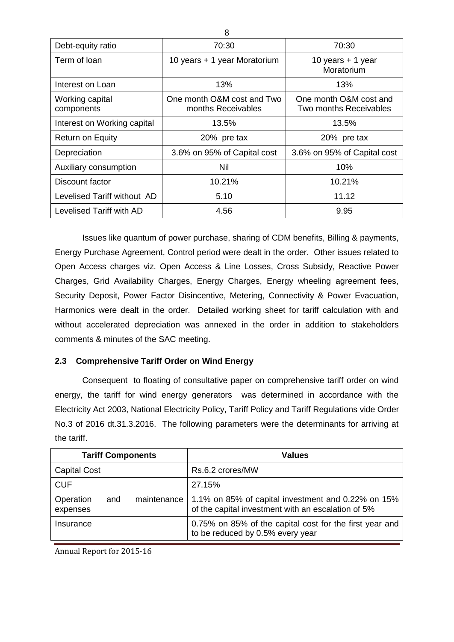|                               | Ő                                                |                                                  |  |
|-------------------------------|--------------------------------------------------|--------------------------------------------------|--|
| Debt-equity ratio             | 70:30                                            | 70:30                                            |  |
| Term of loan                  | 10 years + 1 year Moratorium                     | 10 years $+$ 1 year<br>Moratorium                |  |
| Interest on Loan              | 13%                                              | 13%                                              |  |
| Working capital<br>components | One month O&M cost and Two<br>months Receivables | One month O&M cost and<br>Two months Receivables |  |
| Interest on Working capital   | 13.5%                                            | 13.5%                                            |  |
| <b>Return on Equity</b>       | 20% pre tax                                      | 20% pre tax                                      |  |
| Depreciation                  | 3.6% on 95% of Capital cost                      | 3.6% on 95% of Capital cost                      |  |
| Auxiliary consumption         | Nil                                              | 10%                                              |  |
| Discount factor               | 10.21%                                           | 10.21%                                           |  |
| Levelised Tariff without AD   | 5.10                                             | 11.12                                            |  |
| Levelised Tariff with AD      | 4.56                                             | 9.95                                             |  |

Issues like quantum of power purchase, sharing of CDM benefits, Billing & payments, Energy Purchase Agreement, Control period were dealt in the order. Other issues related to Open Access charges viz. Open Access & Line Losses, Cross Subsidy, Reactive Power Charges, Grid Availability Charges, Energy Charges, Energy wheeling agreement fees, Security Deposit, Power Factor Disincentive, Metering, Connectivity & Power Evacuation, Harmonics were dealt in the order. Detailed working sheet for tariff calculation with and without accelerated depreciation was annexed in the order in addition to stakeholders comments & minutes of the SAC meeting.

### **2.3 Comprehensive Tariff Order on Wind Energy**

Consequent to floating of consultative paper on comprehensive tariff order on wind energy, the tariff for wind energy generators was determined in accordance with the Electricity Act 2003, National Electricity Policy, Tariff Policy and Tariff Regulations vide Order No.3 of 2016 dt.31.3.2016. The following parameters were the determinants for arriving at the tariff.

| <b>Tariff Components</b>                      | Values                                                                                                   |
|-----------------------------------------------|----------------------------------------------------------------------------------------------------------|
| <b>Capital Cost</b>                           | Rs.6.2 crores/MW                                                                                         |
| <b>CUF</b>                                    | 27.15%                                                                                                   |
| Operation<br>maintenance  <br>and<br>expenses | 1.1% on 85% of capital investment and 0.22% on 15%<br>of the capital investment with an escalation of 5% |
| Insurance                                     | 0.75% on 85% of the capital cost for the first year and<br>to be reduced by 0.5% every year              |

Annual Report for 2015-16

 $\mathbf{Q}$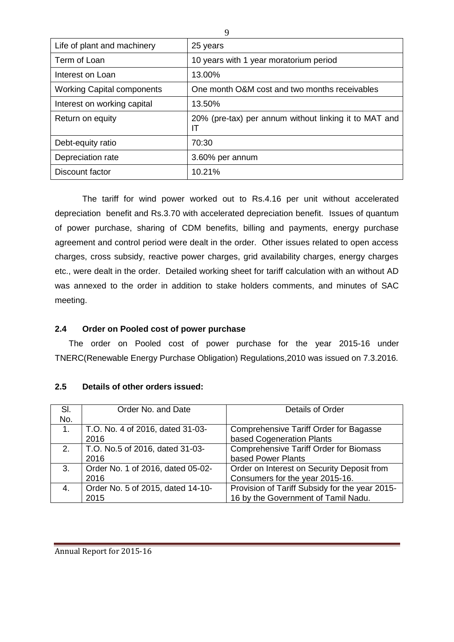| Life of plant and machinery<br>25 years<br>Term of Loan<br>10 years with 1 year moratorium period<br>13.00%<br>Interest on Loan<br><b>Working Capital components</b><br>One month O&M cost and two months receivables<br>Interest on working capital<br>13.50%<br>20% (pre-tax) per annum without linking it to MAT and<br>Return on equity<br>ΙT<br>70:30<br>Debt-equity ratio<br>Depreciation rate<br>3.60% per annum<br>10.21%<br>Discount factor |  |
|------------------------------------------------------------------------------------------------------------------------------------------------------------------------------------------------------------------------------------------------------------------------------------------------------------------------------------------------------------------------------------------------------------------------------------------------------|--|
|                                                                                                                                                                                                                                                                                                                                                                                                                                                      |  |
|                                                                                                                                                                                                                                                                                                                                                                                                                                                      |  |
|                                                                                                                                                                                                                                                                                                                                                                                                                                                      |  |
|                                                                                                                                                                                                                                                                                                                                                                                                                                                      |  |
|                                                                                                                                                                                                                                                                                                                                                                                                                                                      |  |
|                                                                                                                                                                                                                                                                                                                                                                                                                                                      |  |
|                                                                                                                                                                                                                                                                                                                                                                                                                                                      |  |
|                                                                                                                                                                                                                                                                                                                                                                                                                                                      |  |
|                                                                                                                                                                                                                                                                                                                                                                                                                                                      |  |

The tariff for wind power worked out to Rs.4.16 per unit without accelerated depreciation benefit and Rs.3.70 with accelerated depreciation benefit. Issues of quantum of power purchase, sharing of CDM benefits, billing and payments, energy purchase agreement and control period were dealt in the order. Other issues related to open access charges, cross subsidy, reactive power charges, grid availability charges, energy charges etc., were dealt in the order. Detailed working sheet for tariff calculation with an without AD was annexed to the order in addition to stake holders comments, and minutes of SAC meeting.

### **2.4 Order on Pooled cost of power purchase**

The order on Pooled cost of power purchase for the year 2015-16 under TNERC(Renewable Energy Purchase Obligation) Regulations,2010 was issued on 7.3.2016.

| SI.<br>No. | Order No. and Date                        | Details of Order                                                                      |
|------------|-------------------------------------------|---------------------------------------------------------------------------------------|
| 1.         | T.O. No. 4 of 2016, dated 31-03-<br>2016  | Comprehensive Tariff Order for Bagasse<br>based Cogeneration Plants                   |
| 2.         | T.O. No.5 of 2016, dated 31-03-<br>2016   | <b>Comprehensive Tariff Order for Biomass</b><br>based Power Plants                   |
| 3.         | Order No. 1 of 2016, dated 05-02-<br>2016 | Order on Interest on Security Deposit from<br>Consumers for the year 2015-16.         |
| 4.         | Order No. 5 of 2015, dated 14-10-<br>2015 | Provision of Tariff Subsidy for the year 2015-<br>16 by the Government of Tamil Nadu. |

### **2.5 Details of other orders issued:**

 $\Omega$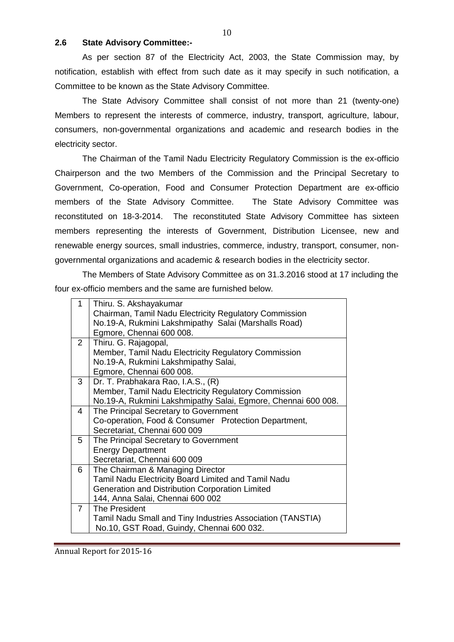#### **2.6 State Advisory Committee:-**

As per section 87 of the Electricity Act, 2003, the State Commission may, by notification, establish with effect from such date as it may specify in such notification, a Committee to be known as the State Advisory Committee.

The State Advisory Committee shall consist of not more than 21 (twenty-one) Members to represent the interests of commerce, industry, transport, agriculture, labour, consumers, non-governmental organizations and academic and research bodies in the electricity sector.

The Chairman of the Tamil Nadu Electricity Regulatory Commission is the ex-officio Chairperson and the two Members of the Commission and the Principal Secretary to Government, Co-operation, Food and Consumer Protection Department are ex-officio members of the State Advisory Committee. The State Advisory Committee was reconstituted on 18-3-2014. The reconstituted State Advisory Committee has sixteen members representing the interests of Government, Distribution Licensee, new and renewable energy sources, small industries, commerce, industry, transport, consumer, nongovernmental organizations and academic & research bodies in the electricity sector.

The Members of State Advisory Committee as on 31.3.2016 stood at 17 including the four ex-officio members and the same are furnished below.

| 1              | Thiru. S. Akshayakumar                                        |
|----------------|---------------------------------------------------------------|
|                | Chairman, Tamil Nadu Electricity Regulatory Commission        |
|                | No.19-A, Rukmini Lakshmipathy Salai (Marshalls Road)          |
|                | Egmore, Chennai 600 008.                                      |
| 2              | Thiru. G. Rajagopal,                                          |
|                | Member, Tamil Nadu Electricity Regulatory Commission          |
|                | No.19-A, Rukmini Lakshmipathy Salai,                          |
|                | Egmore, Chennai 600 008.                                      |
| 3              | Dr. T. Prabhakara Rao, I.A.S., (R)                            |
|                | Member, Tamil Nadu Electricity Regulatory Commission          |
|                | No.19-A, Rukmini Lakshmipathy Salai, Egmore, Chennai 600 008. |
| 4              | The Principal Secretary to Government                         |
|                | Co-operation, Food & Consumer Protection Department,          |
|                | Secretariat, Chennai 600 009                                  |
| 5              | The Principal Secretary to Government                         |
|                | <b>Energy Department</b>                                      |
|                | Secretariat, Chennai 600 009                                  |
| 6              | The Chairman & Managing Director                              |
|                | Tamil Nadu Electricity Board Limited and Tamil Nadu           |
|                | Generation and Distribution Corporation Limited               |
|                | 144, Anna Salai, Chennai 600 002                              |
| $\overline{7}$ | The President                                                 |
|                | Tamil Nadu Small and Tiny Industries Association (TANSTIA)    |
|                | No.10, GST Road, Guindy, Chennai 600 032.                     |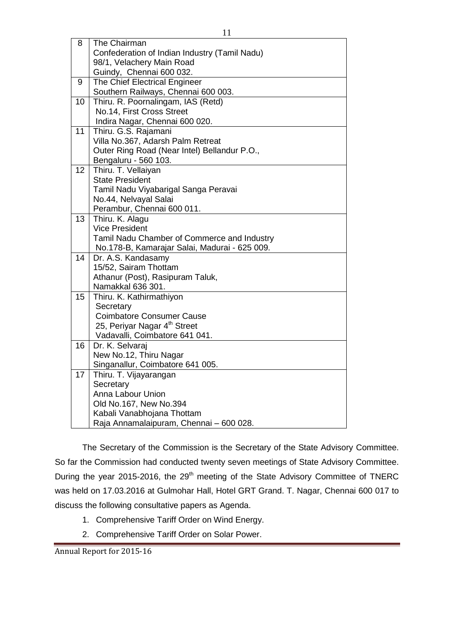| 8  | The Chairman                                          |
|----|-------------------------------------------------------|
|    | Confederation of Indian Industry (Tamil Nadu)         |
|    | 98/1, Velachery Main Road                             |
|    | Guindy, Chennai 600 032.                              |
| 9  | The Chief Electrical Engineer                         |
|    | Southern Railways, Chennai 600 003.                   |
| 10 | Thiru. R. Poornalingam, IAS (Retd)                    |
|    | No.14, First Cross Street                             |
|    | Indira Nagar, Chennai 600 020.                        |
| 11 | Thiru. G.S. Rajamani                                  |
|    | Villa No.367, Adarsh Palm Retreat                     |
|    | Outer Ring Road (Near Intel) Bellandur P.O.,          |
|    | Bengaluru - 560 103.                                  |
| 12 | Thiru. T. Vellaiyan                                   |
|    | <b>State President</b>                                |
|    | Tamil Nadu Viyabarigal Sanga Peravai                  |
|    | No.44, Nelvayal Salai                                 |
|    | Perambur, Chennai 600 011.                            |
| 13 | Thiru. K. Alagu                                       |
|    | <b>Vice President</b>                                 |
|    | Tamil Nadu Chamber of Commerce and Industry           |
|    | No.178-B, Kamarajar Salai, Madurai - 625 009.         |
| 14 | Dr. A.S. Kandasamy                                    |
|    | 15/52, Sairam Thottam                                 |
|    | Athanur (Post), Rasipuram Taluk,<br>Namakkal 636 301. |
| 15 | Thiru. K. Kathirmathiyon                              |
|    | Secretary                                             |
|    | <b>Coimbatore Consumer Cause</b>                      |
|    | 25, Periyar Nagar 4 <sup>th</sup> Street              |
|    | Vadavalli, Coimbatore 641 041.                        |
| 16 | Dr. K. Selvaraj                                       |
|    | New No.12, Thiru Nagar                                |
|    | Singanallur, Coimbatore 641 005.                      |
| 17 | Thiru. T. Vijayarangan                                |
|    | Secretary                                             |
|    | Anna Labour Union                                     |
|    | Old No.167, New No.394                                |
|    | Kabali Vanabhojana Thottam                            |
|    | Raja Annamalaipuram, Chennai - 600 028.               |

The Secretary of the Commission is the Secretary of the State Advisory Committee. So far the Commission had conducted twenty seven meetings of State Advisory Committee. During the year 2015-2016, the 29<sup>th</sup> meeting of the State Advisory Committee of TNERC was held on 17.03.2016 at Gulmohar Hall, Hotel GRT Grand. T. Nagar, Chennai 600 017 to discuss the following consultative papers as Agenda.

- 1. Comprehensive Tariff Order on Wind Energy.
- 2. Comprehensive Tariff Order on Solar Power.

Annual Report for 2015-16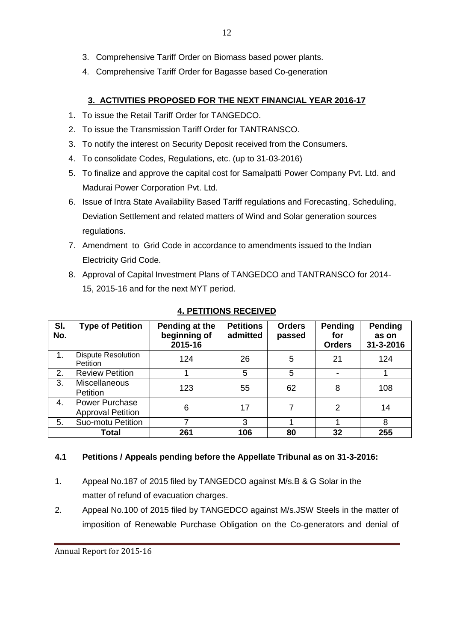- 3. Comprehensive Tariff Order on Biomass based power plants.
- 4. Comprehensive Tariff Order for Bagasse based Co-generation

# **3. ACTIVITIES PROPOSED FOR THE NEXT FINANCIAL YEAR 2016-17**

- 1. To issue the Retail Tariff Order for TANGEDCO.
- 2. To issue the Transmission Tariff Order for TANTRANSCO.
- 3. To notify the interest on Security Deposit received from the Consumers.
- 4. To consolidate Codes, Regulations, etc. (up to 31-03-2016)
- 5. To finalize and approve the capital cost for Samalpatti Power Company Pvt. Ltd. and Madurai Power Corporation Pvt. Ltd.
- 6. Issue of Intra State Availability Based Tariff regulations and Forecasting, Scheduling, Deviation Settlement and related matters of Wind and Solar generation sources regulations.
- 7. Amendment to Grid Code in accordance to amendments issued to the Indian Electricity Grid Code.
- 8. Approval of Capital Investment Plans of TANGEDCO and TANTRANSCO for 2014- 15, 2015-16 and for the next MYT period.

| SI.<br>No. | <b>Type of Petition</b>                           | Pending at the<br>beginning of<br>2015-16 | <b>Petitions</b><br>admitted | <b>Orders</b><br>passed | Pending<br>for<br><b>Orders</b> | Pending<br>as on<br>31-3-2016 |
|------------|---------------------------------------------------|-------------------------------------------|------------------------------|-------------------------|---------------------------------|-------------------------------|
| 1.         | <b>Dispute Resolution</b><br><b>Petition</b>      | 124                                       | 26                           | 5                       | 21                              | 124                           |
| 2.         | <b>Review Petition</b>                            |                                           | 5                            | 5                       |                                 |                               |
| 3.         | <b>Miscellaneous</b><br>Petition                  | 123                                       | 55                           | 62                      | 8                               | 108                           |
| 4.         | <b>Power Purchase</b><br><b>Approval Petition</b> | 6                                         | 17                           | 7                       | 2                               | 14                            |
| 5.         | Suo-motu Petition                                 | 7                                         | 3                            |                         |                                 | 8                             |
|            | <b>Total</b>                                      | 261                                       | 106                          | 80                      | 32                              | 255                           |

# **4. PETITIONS RECEIVED**

### **4.1 Petitions / Appeals pending before the Appellate Tribunal as on 31-3-2016:**

- 1. Appeal No.187 of 2015 filed by TANGEDCO against M/s.B & G Solar in the matter of refund of evacuation charges.
- 2. Appeal No.100 of 2015 filed by TANGEDCO against M/s.JSW Steels in the matter of imposition of Renewable Purchase Obligation on the Co-generators and denial of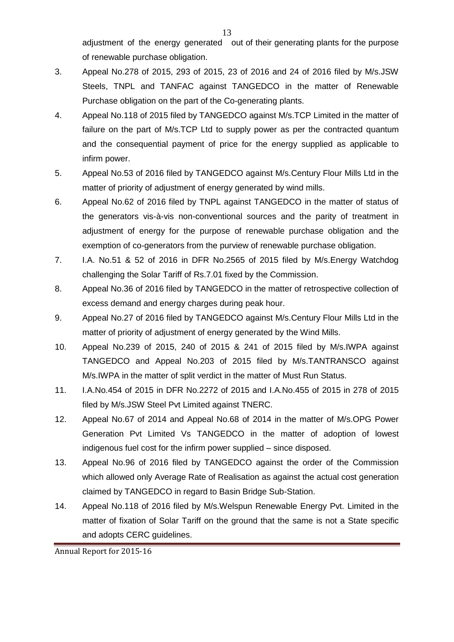adjustment of the energy generated out of their generating plants for the purpose of renewable purchase obligation.

- 3. Appeal No.278 of 2015, 293 of 2015, 23 of 2016 and 24 of 2016 filed by M/s.JSW Steels, TNPL and TANFAC against TANGEDCO in the matter of Renewable Purchase obligation on the part of the Co-generating plants.
- 4. Appeal No.118 of 2015 filed by TANGEDCO against M/s.TCP Limited in the matter of failure on the part of M/s.TCP Ltd to supply power as per the contracted quantum and the consequential payment of price for the energy supplied as applicable to infirm power.
- 5. Appeal No.53 of 2016 filed by TANGEDCO against M/s.Century Flour Mills Ltd in the matter of priority of adjustment of energy generated by wind mills.
- 6. Appeal No.62 of 2016 filed by TNPL against TANGEDCO in the matter of status of the generators vis-à-vis non-conventional sources and the parity of treatment in adjustment of energy for the purpose of renewable purchase obligation and the exemption of co-generators from the purview of renewable purchase obligation.
- 7. I.A. No.51 & 52 of 2016 in DFR No.2565 of 2015 filed by M/s.Energy Watchdog challenging the Solar Tariff of Rs.7.01 fixed by the Commission.
- 8. Appeal No.36 of 2016 filed by TANGEDCO in the matter of retrospective collection of excess demand and energy charges during peak hour.
- 9. Appeal No.27 of 2016 filed by TANGEDCO against M/s.Century Flour Mills Ltd in the matter of priority of adjustment of energy generated by the Wind Mills.
- 10. Appeal No.239 of 2015, 240 of 2015 & 241 of 2015 filed by M/s.IWPA against TANGEDCO and Appeal No.203 of 2015 filed by M/s.TANTRANSCO against M/s.IWPA in the matter of split verdict in the matter of Must Run Status.
- 11. I.A.No.454 of 2015 in DFR No.2272 of 2015 and I.A.No.455 of 2015 in 278 of 2015 filed by M/s.JSW Steel Pvt Limited against TNERC.
- 12. Appeal No.67 of 2014 and Appeal No.68 of 2014 in the matter of M/s.OPG Power Generation Pvt Limited Vs TANGEDCO in the matter of adoption of lowest indigenous fuel cost for the infirm power supplied – since disposed.
- 13. Appeal No.96 of 2016 filed by TANGEDCO against the order of the Commission which allowed only Average Rate of Realisation as against the actual cost generation claimed by TANGEDCO in regard to Basin Bridge Sub-Station.
- 14. Appeal No.118 of 2016 filed by M/s.Welspun Renewable Energy Pvt. Limited in the matter of fixation of Solar Tariff on the ground that the same is not a State specific and adopts CERC guidelines.

Annual Report for 2015-16

13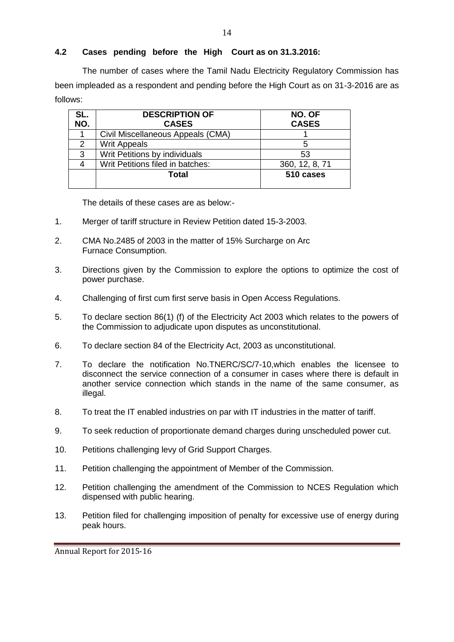### **4.2 Cases pending before the High Court as on 31.3.2016:**

The number of cases where the Tamil Nadu Electricity Regulatory Commission has been impleaded as a respondent and pending before the High Court as on 31-3-2016 are as follows:

| SL.<br>NO. | <b>DESCRIPTION OF</b><br><b>CASES</b> | NO. OF<br><b>CASES</b> |
|------------|---------------------------------------|------------------------|
|            | Civil Miscellaneous Appeals (CMA)     |                        |
|            | <b>Writ Appeals</b>                   | 5                      |
| 3          | Writ Petitions by individuals         | 53                     |
|            | Writ Petitions filed in batches:      | 360, 12, 8, 71         |
|            | Total                                 | 510 cases              |

The details of these cases are as below:-

- 1. Merger of tariff structure in Review Petition dated 15-3-2003.
- 2. CMA No.2485 of 2003 in the matter of 15% Surcharge on Arc Furnace Consumption.
- 3. Directions given by the Commission to explore the options to optimize the cost of power purchase.
- 4. Challenging of first cum first serve basis in Open Access Regulations.
- 5. To declare section 86(1) (f) of the Electricity Act 2003 which relates to the powers of the Commission to adjudicate upon disputes as unconstitutional.
- 6. To declare section 84 of the Electricity Act, 2003 as unconstitutional.
- 7. To declare the notification No.TNERC/SC/7-10,which enables the licensee to disconnect the service connection of a consumer in cases where there is default in another service connection which stands in the name of the same consumer, as illegal.
- 8. To treat the IT enabled industries on par with IT industries in the matter of tariff.
- 9. To seek reduction of proportionate demand charges during unscheduled power cut.
- 10. Petitions challenging levy of Grid Support Charges.
- 11. Petition challenging the appointment of Member of the Commission.
- 12. Petition challenging the amendment of the Commission to NCES Regulation which dispensed with public hearing.
- 13. Petition filed for challenging imposition of penalty for excessive use of energy during peak hours.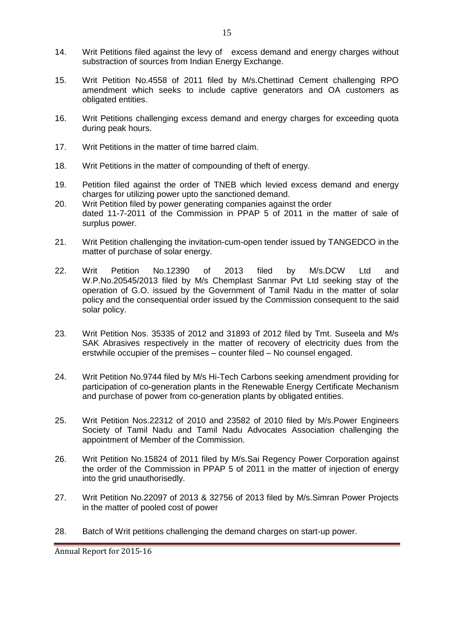- 14. Writ Petitions filed against the levy of excess demand and energy charges without substraction of sources from Indian Energy Exchange.
- 15. Writ Petition No.4558 of 2011 filed by M/s.Chettinad Cement challenging RPO amendment which seeks to include captive generators and OA customers as obligated entities.
- 16. Writ Petitions challenging excess demand and energy charges for exceeding quota during peak hours.
- 17. Writ Petitions in the matter of time barred claim.
- 18. Writ Petitions in the matter of compounding of theft of energy.
- 19. Petition filed against the order of TNEB which levied excess demand and energy charges for utilizing power upto the sanctioned demand.
- 20. Writ Petition filed by power generating companies against the order dated 11-7-2011 of the Commission in PPAP 5 of 2011 in the matter of sale of surplus power.
- 21. Writ Petition challenging the invitation-cum-open tender issued by TANGEDCO in the matter of purchase of solar energy.
- 22. Writ Petition No.12390 of 2013 filed by M/s.DCW Ltd and W.P.No.20545/2013 filed by M/s Chemplast Sanmar Pvt Ltd seeking stay of the operation of G.O. issued by the Government of Tamil Nadu in the matter of solar policy and the consequential order issued by the Commission consequent to the said solar policy.
- 23. Writ Petition Nos. 35335 of 2012 and 31893 of 2012 filed by Tmt. Suseela and M/s SAK Abrasives respectively in the matter of recovery of electricity dues from the erstwhile occupier of the premises – counter filed – No counsel engaged.
- 24. Writ Petition No.9744 filed by M/s Hi-Tech Carbons seeking amendment providing for participation of co-generation plants in the Renewable Energy Certificate Mechanism and purchase of power from co-generation plants by obligated entities.
- 25. Writ Petition Nos.22312 of 2010 and 23582 of 2010 filed by M/s.Power Engineers Society of Tamil Nadu and Tamil Nadu Advocates Association challenging the appointment of Member of the Commission.
- 26. Writ Petition No.15824 of 2011 filed by M/s.Sai Regency Power Corporation against the order of the Commission in PPAP 5 of 2011 in the matter of injection of energy into the grid unauthorisedly.
- 27. Writ Petition No.22097 of 2013 & 32756 of 2013 filed by M/s.Simran Power Projects in the matter of pooled cost of power
- 28. Batch of Writ petitions challenging the demand charges on start-up power.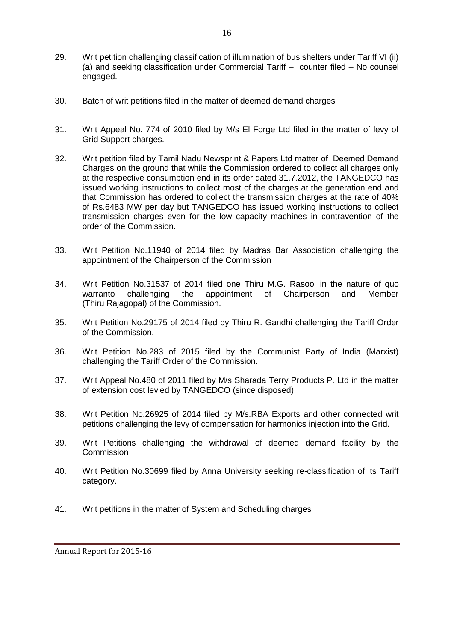- 29. Writ petition challenging classification of illumination of bus shelters under Tariff VI (ii) (a) and seeking classification under Commercial Tariff – counter filed – No counsel engaged.
- 30. Batch of writ petitions filed in the matter of deemed demand charges
- 31. Writ Appeal No. 774 of 2010 filed by M/s El Forge Ltd filed in the matter of levy of Grid Support charges.
- 32. Writ petition filed by Tamil Nadu Newsprint & Papers Ltd matter of Deemed Demand Charges on the ground that while the Commission ordered to collect all charges only at the respective consumption end in its order dated 31.7.2012, the TANGEDCO has issued working instructions to collect most of the charges at the generation end and that Commission has ordered to collect the transmission charges at the rate of 40% of Rs.6483 MW per day but TANGEDCO has issued working instructions to collect transmission charges even for the low capacity machines in contravention of the order of the Commission.
- 33. Writ Petition No.11940 of 2014 filed by Madras Bar Association challenging the appointment of the Chairperson of the Commission
- 34. Writ Petition No.31537 of 2014 filed one Thiru M.G. Rasool in the nature of quo warranto challenging the appointment of Chairperson and Member (Thiru Rajagopal) of the Commission.
- 35. Writ Petition No.29175 of 2014 filed by Thiru R. Gandhi challenging the Tariff Order of the Commission.
- 36. Writ Petition No.283 of 2015 filed by the Communist Party of India (Marxist) challenging the Tariff Order of the Commission.
- 37. Writ Appeal No.480 of 2011 filed by M/s Sharada Terry Products P. Ltd in the matter of extension cost levied by TANGEDCO (since disposed)
- 38. Writ Petition No.26925 of 2014 filed by M/s.RBA Exports and other connected writ petitions challenging the levy of compensation for harmonics injection into the Grid.
- 39. Writ Petitions challenging the withdrawal of deemed demand facility by the **Commission**
- 40. Writ Petition No.30699 filed by Anna University seeking re-classification of its Tariff category.
- 41. Writ petitions in the matter of System and Scheduling charges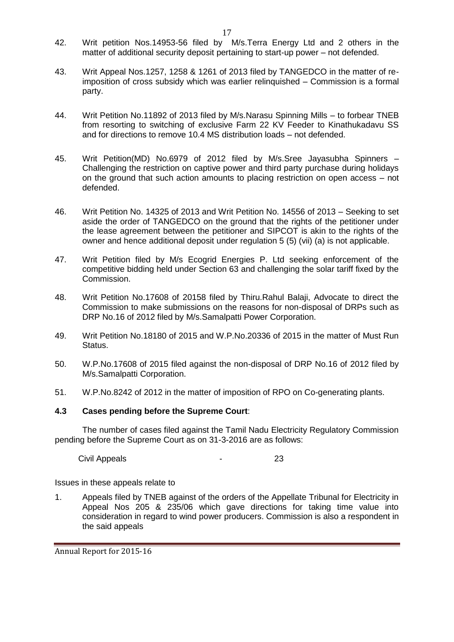- 42. Writ petition Nos.14953-56 filed by M/s.Terra Energy Ltd and 2 others in the matter of additional security deposit pertaining to start-up power – not defended.
- 43. Writ Appeal Nos.1257, 1258 & 1261 of 2013 filed by TANGEDCO in the matter of reimposition of cross subsidy which was earlier relinquished – Commission is a formal party.
- 44. Writ Petition No.11892 of 2013 filed by M/s.Narasu Spinning Mills to forbear TNEB from resorting to switching of exclusive Farm 22 KV Feeder to Kinathukadavu SS and for directions to remove 10.4 MS distribution loads – not defended.
- 45. Writ Petition(MD) No.6979 of 2012 filed by M/s.Sree Jayasubha Spinners Challenging the restriction on captive power and third party purchase during holidays on the ground that such action amounts to placing restriction on open access – not defended.
- 46. Writ Petition No. 14325 of 2013 and Writ Petition No. 14556 of 2013 Seeking to set aside the order of TANGEDCO on the ground that the rights of the petitioner under the lease agreement between the petitioner and SIPCOT is akin to the rights of the owner and hence additional deposit under regulation 5 (5) (vii) (a) is not applicable.
- 47. Writ Petition filed by M/s Ecogrid Energies P. Ltd seeking enforcement of the competitive bidding held under Section 63 and challenging the solar tariff fixed by the Commission.
- 48. Writ Petition No.17608 of 20158 filed by Thiru.Rahul Balaji, Advocate to direct the Commission to make submissions on the reasons for non-disposal of DRPs such as DRP No.16 of 2012 filed by M/s.Samalpatti Power Corporation.
- 49. Writ Petition No.18180 of 2015 and W.P.No.20336 of 2015 in the matter of Must Run Status.
- 50. W.P.No.17608 of 2015 filed against the non-disposal of DRP No.16 of 2012 filed by M/s.Samalpatti Corporation.
- 51. W.P.No.8242 of 2012 in the matter of imposition of RPO on Co-generating plants.

### **4.3 Cases pending before the Supreme Court**:

The number of cases filed against the Tamil Nadu Electricity Regulatory Commission pending before the Supreme Court as on 31-3-2016 are as follows:

Civil Appeals **23** 

Issues in these appeals relate to

1. Appeals filed by TNEB against of the orders of the Appellate Tribunal for Electricity in Appeal Nos 205 & 235/06 which gave directions for taking time value into consideration in regard to wind power producers. Commission is also a respondent in the said appeals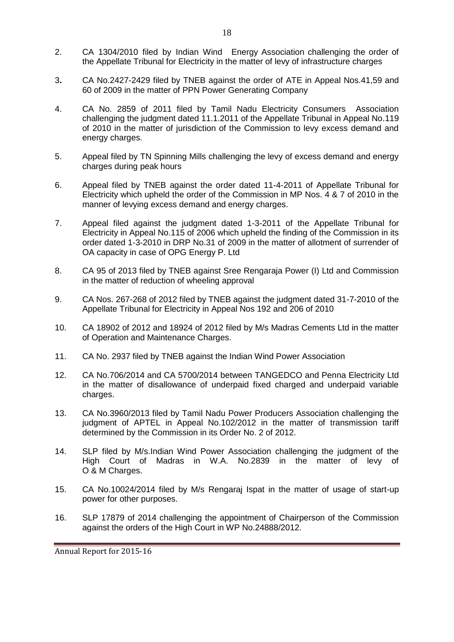- 2. CA 1304/2010 filed by Indian Wind Energy Association challenging the order of the Appellate Tribunal for Electricity in the matter of levy of infrastructure charges
- 3**.** CA No.2427-2429 filed by TNEB against the order of ATE in Appeal Nos.41,59 and 60 of 2009 in the matter of PPN Power Generating Company
- 4. CA No. 2859 of 2011 filed by Tamil Nadu Electricity Consumers Association challenging the judgment dated 11.1.2011 of the Appellate Tribunal in Appeal No.119 of 2010 in the matter of jurisdiction of the Commission to levy excess demand and energy charges.
- 5. Appeal filed by TN Spinning Mills challenging the levy of excess demand and energy charges during peak hours
- 6. Appeal filed by TNEB against the order dated 11-4-2011 of Appellate Tribunal for Electricity which upheld the order of the Commission in MP Nos. 4 & 7 of 2010 in the manner of levying excess demand and energy charges.
- 7. Appeal filed against the judgment dated 1-3-2011 of the Appellate Tribunal for Electricity in Appeal No.115 of 2006 which upheld the finding of the Commission in its order dated 1-3-2010 in DRP No.31 of 2009 in the matter of allotment of surrender of OA capacity in case of OPG Energy P. Ltd
- 8. CA 95 of 2013 filed by TNEB against Sree Rengaraja Power (I) Ltd and Commission in the matter of reduction of wheeling approval
- 9. CA Nos. 267-268 of 2012 filed by TNEB against the judgment dated 31-7-2010 of the Appellate Tribunal for Electricity in Appeal Nos 192 and 206 of 2010
- 10. CA 18902 of 2012 and 18924 of 2012 filed by M/s Madras Cements Ltd in the matter of Operation and Maintenance Charges.
- 11. CA No. 2937 filed by TNEB against the Indian Wind Power Association
- 12. CA No.706/2014 and CA 5700/2014 between TANGEDCO and Penna Electricity Ltd in the matter of disallowance of underpaid fixed charged and underpaid variable charges.
- 13. CA No.3960/2013 filed by Tamil Nadu Power Producers Association challenging the judgment of APTEL in Appeal No.102/2012 in the matter of transmission tariff determined by the Commission in its Order No. 2 of 2012.
- 14. SLP filed by M/s.Indian Wind Power Association challenging the judgment of the High Court of Madras in W.A. No.2839 in the matter of levy of O & M Charges.
- 15. CA No.10024/2014 filed by M/s Rengaraj Ispat in the matter of usage of start-up power for other purposes.
- 16. SLP 17879 of 2014 challenging the appointment of Chairperson of the Commission against the orders of the High Court in WP No.24888/2012.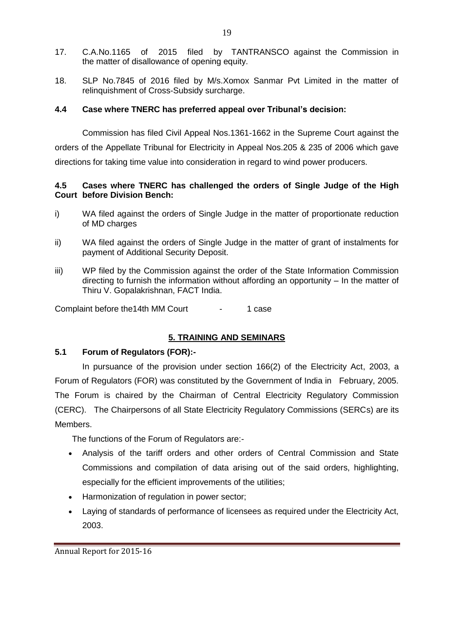- 17. C.A.No.1165 of 2015 filed by TANTRANSCO against the Commission in the matter of disallowance of opening equity.
- 18. SLP No.7845 of 2016 filed by M/s.Xomox Sanmar Pvt Limited in the matter of relinquishment of Cross-Subsidy surcharge.

### **4.4 Case where TNERC has preferred appeal over Tribunal's decision:**

Commission has filed Civil Appeal Nos.1361-1662 in the Supreme Court against the orders of the Appellate Tribunal for Electricity in Appeal Nos.205 & 235 of 2006 which gave directions for taking time value into consideration in regard to wind power producers.

### **4.5 Cases where TNERC has challenged the orders of Single Judge of the High Court before Division Bench:**

- i) WA filed against the orders of Single Judge in the matter of proportionate reduction of MD charges
- ii) WA filed against the orders of Single Judge in the matter of grant of instalments for payment of Additional Security Deposit.
- iii) WP filed by the Commission against the order of the State Information Commission directing to furnish the information without affording an opportunity – In the matter of Thiru V. Gopalakrishnan, FACT India.

Complaint before the 14th MM Court - 1 case

# **5. TRAINING AND SEMINARS**

### **5.1 Forum of Regulators (FOR):-**

In pursuance of the provision under section 166(2) of the Electricity Act, 2003, a Forum of Regulators (FOR) was constituted by the Government of India in February, 2005. The Forum is chaired by the Chairman of Central Electricity Regulatory Commission (CERC). The Chairpersons of all State Electricity Regulatory Commissions (SERCs) are its Members.

The functions of the Forum of Regulators are:-

- Analysis of the tariff orders and other orders of Central Commission and State Commissions and compilation of data arising out of the said orders, highlighting, especially for the efficient improvements of the utilities;
- Harmonization of regulation in power sector;
- Laying of standards of performance of licensees as required under the Electricity Act, 2003.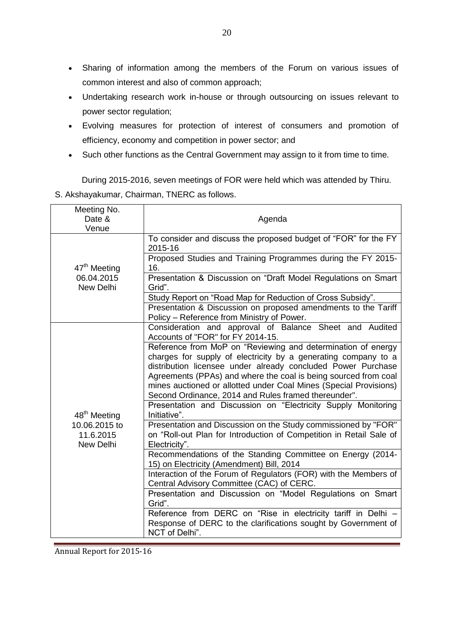- Sharing of information among the members of the Forum on various issues of common interest and also of common approach;
- Undertaking research work in-house or through outsourcing on issues relevant to power sector regulation;
- Evolving measures for protection of interest of consumers and promotion of efficiency, economy and competition in power sector; and
- Such other functions as the Central Government may assign to it from time to time.

During 2015-2016, seven meetings of FOR were held which was attended by Thiru. S. Akshayakumar, Chairman, TNERC as follows.

| Meeting No.<br>Date &<br>Venue          | Agenda                                                                                                                                                                                                                                                                                                                                                                                         |
|-----------------------------------------|------------------------------------------------------------------------------------------------------------------------------------------------------------------------------------------------------------------------------------------------------------------------------------------------------------------------------------------------------------------------------------------------|
|                                         | To consider and discuss the proposed budget of "FOR" for the FY<br>2015-16                                                                                                                                                                                                                                                                                                                     |
| 47 <sup>th</sup> Meeting                | Proposed Studies and Training Programmes during the FY 2015-<br>16.                                                                                                                                                                                                                                                                                                                            |
| 06.04.2015<br>New Delhi                 | Presentation & Discussion on "Draft Model Regulations on Smart<br>Grid".                                                                                                                                                                                                                                                                                                                       |
|                                         | Study Report on "Road Map for Reduction of Cross Subsidy".                                                                                                                                                                                                                                                                                                                                     |
|                                         | Presentation & Discussion on proposed amendments to the Tariff<br>Policy - Reference from Ministry of Power.                                                                                                                                                                                                                                                                                   |
|                                         | Consideration and approval of Balance Sheet and Audited<br>Accounts of "FOR" for FY 2014-15.                                                                                                                                                                                                                                                                                                   |
|                                         | Reference from MoP on "Reviewing and determination of energy<br>charges for supply of electricity by a generating company to a<br>distribution licensee under already concluded Power Purchase<br>Agreements (PPAs) and where the coal is being sourced from coal<br>mines auctioned or allotted under Coal Mines (Special Provisions)<br>Second Ordinance, 2014 and Rules framed thereunder". |
| 48 <sup>th</sup> Meeting                | Presentation and Discussion on "Electricity Supply Monitoring<br>Initiative".                                                                                                                                                                                                                                                                                                                  |
| 10.06.2015 to<br>11.6.2015<br>New Delhi | Presentation and Discussion on the Study commissioned by "FOR"<br>on "Roll-out Plan for Introduction of Competition in Retail Sale of<br>Electricity".                                                                                                                                                                                                                                         |
|                                         | Recommendations of the Standing Committee on Energy (2014-<br>15) on Electricity (Amendment) Bill, 2014                                                                                                                                                                                                                                                                                        |
|                                         | Interaction of the Forum of Regulators (FOR) with the Members of<br>Central Advisory Committee (CAC) of CERC.                                                                                                                                                                                                                                                                                  |
|                                         | Presentation and Discussion on "Model Regulations on Smart<br>Grid".                                                                                                                                                                                                                                                                                                                           |
|                                         | Reference from DERC on "Rise in electricity tariff in Delhi -<br>Response of DERC to the clarifications sought by Government of<br>NCT of Delhi".                                                                                                                                                                                                                                              |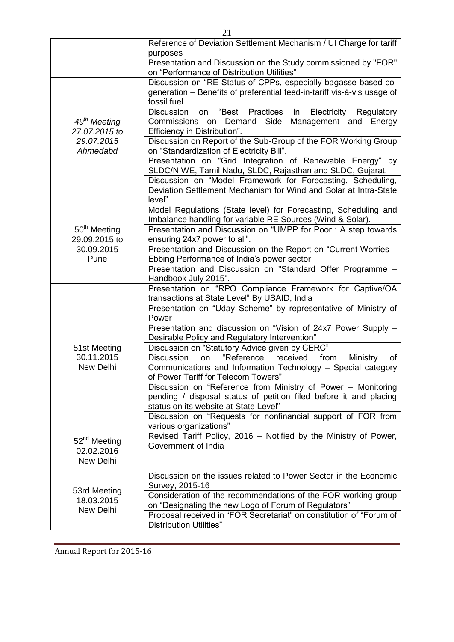|                                                                                                                                                | Reference of Deviation Settlement Mechanism / UI Charge for tariff<br>purposes                                                                                                                                                               |
|------------------------------------------------------------------------------------------------------------------------------------------------|----------------------------------------------------------------------------------------------------------------------------------------------------------------------------------------------------------------------------------------------|
|                                                                                                                                                | Presentation and Discussion on the Study commissioned by "FOR"<br>on "Performance of Distribution Utilities"                                                                                                                                 |
|                                                                                                                                                | Discussion on "RE Status of CPPs, especially bagasse based co-<br>generation - Benefits of preferential feed-in-tariff vis-à-vis usage of<br>fossil fuel<br><b>Discussion</b><br>"Best<br>Practices<br>Electricity<br>in<br>Regulatory<br>on |
| 49 <sup>th</sup> Meeting<br>27.07.2015 to                                                                                                      | Demand Side<br>Management and Energy<br>Commissions on<br>Efficiency in Distribution".                                                                                                                                                       |
| 29.07.2015<br>Ahmedabd                                                                                                                         | Discussion on Report of the Sub-Group of the FOR Working Group<br>on "Standardization of Electricity Bill".                                                                                                                                  |
|                                                                                                                                                | Presentation on "Grid Integration of Renewable Energy" by<br>SLDC/NIWE, Tamil Nadu, SLDC, Rajasthan and SLDC, Gujarat.                                                                                                                       |
|                                                                                                                                                | Discussion on "Model Framework for Forecasting, Scheduling,<br>Deviation Settlement Mechanism for Wind and Solar at Intra-State<br>level".                                                                                                   |
|                                                                                                                                                | Model Regulations (State level) for Forecasting, Scheduling and<br>Imbalance handling for variable RE Sources (Wind & Solar).                                                                                                                |
| 50 <sup>th</sup> Meeting<br>29.09.2015 to                                                                                                      | Presentation and Discussion on "UMPP for Poor: A step towards<br>ensuring 24x7 power to all".                                                                                                                                                |
| 30.09.2015<br>Pune                                                                                                                             | Presentation and Discussion on the Report on "Current Worries -<br>Ebbing Performance of India's power sector                                                                                                                                |
|                                                                                                                                                | Presentation and Discussion on "Standard Offer Programme -<br>Handbook July 2015".                                                                                                                                                           |
|                                                                                                                                                | Presentation on "RPO Compliance Framework for Captive/OA<br>transactions at State Level" By USAID, India                                                                                                                                     |
|                                                                                                                                                | Presentation on "Uday Scheme" by representative of Ministry of<br>Power                                                                                                                                                                      |
|                                                                                                                                                | Presentation and discussion on "Vision of 24x7 Power Supply -<br>Desirable Policy and Regulatory Intervention"                                                                                                                               |
| 51st Meeting                                                                                                                                   | Discussion on "Statutory Advice given by CERC"                                                                                                                                                                                               |
| 30.11.2015<br>New Delhi                                                                                                                        | "Reference<br>received<br>from<br><b>Discussion</b><br>Ministry<br>on<br>of<br>Communications and Information Technology - Special category<br>of Power Tariff for Telecom Towers"                                                           |
|                                                                                                                                                | Discussion on "Reference from Ministry of Power - Monitoring<br>pending / disposal status of petition filed before it and placing<br>status on its website at State Level"                                                                   |
|                                                                                                                                                | Discussion on "Requests for nonfinancial support of FOR from<br>various organizations"                                                                                                                                                       |
| Revised Tariff Policy, 2016 - Notified by the Ministry of Power,<br>52 <sup>nd</sup> Meeting<br>Government of India<br>02.02.2016<br>New Delhi |                                                                                                                                                                                                                                              |
|                                                                                                                                                | Discussion on the issues related to Power Sector in the Economic<br>Survey, 2015-16                                                                                                                                                          |
| 53rd Meeting<br>18.03.2015                                                                                                                     | Consideration of the recommendations of the FOR working group<br>on "Designating the new Logo of Forum of Regulators"                                                                                                                        |
| New Delhi                                                                                                                                      | Proposal received in "FOR Secretariat" on constitution of "Forum of<br><b>Distribution Utilities"</b>                                                                                                                                        |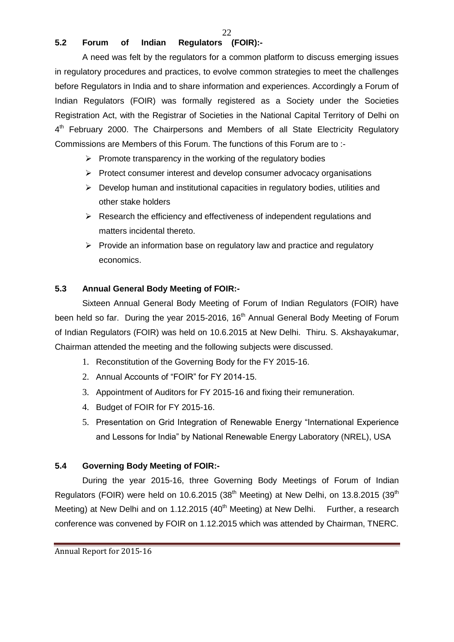# **5.2 Forum of Indian Regulators (FOIR):-**

A need was felt by the regulators for a common platform to discuss emerging issues in regulatory procedures and practices, to evolve common strategies to meet the challenges before Regulators in India and to share information and experiences. Accordingly a Forum of Indian Regulators (FOIR) was formally registered as a Society under the Societies Registration Act, with the Registrar of Societies in the National Capital Territory of Delhi on 4<sup>th</sup> February 2000. The Chairpersons and Members of all State Electricity Regulatory Commissions are Members of this Forum. The functions of this Forum are to :-

- $\triangleright$  Promote transparency in the working of the regulatory bodies
- $\triangleright$  Protect consumer interest and develop consumer advocacy organisations
- $\triangleright$  Develop human and institutional capacities in regulatory bodies, utilities and other stake holders
- $\triangleright$  Research the efficiency and effectiveness of independent regulations and matters incidental thereto.
- $\triangleright$  Provide an information base on regulatory law and practice and regulatory economics.

### **5.3 Annual General Body Meeting of FOIR:-**

Sixteen Annual General Body Meeting of Forum of Indian Regulators (FOIR) have been held so far. During the year 2015-2016, 16<sup>th</sup> Annual General Body Meeting of Forum of Indian Regulators (FOIR) was held on 10.6.2015 at New Delhi. Thiru. S. Akshayakumar, Chairman attended the meeting and the following subjects were discussed.

- 1. Reconstitution of the Governing Body for the FY 2015-16.
- 2. Annual Accounts of "FOIR" for FY 2014-15.
- 3. Appointment of Auditors for FY 2015-16 and fixing their remuneration.
- 4. Budget of FOIR for FY 2015-16.
- 5. Presentation on Grid Integration of Renewable Energy "International Experience and Lessons for India" by National Renewable Energy Laboratory (NREL), USA

### **5.4 Governing Body Meeting of FOIR:-**

During the year 2015-16, three Governing Body Meetings of Forum of Indian Regulators (FOIR) were held on 10.6.2015 (38<sup>th</sup> Meeting) at New Delhi, on 13.8.2015 (39<sup>th</sup> Meeting) at New Delhi and on 1.12.2015 (40<sup>th</sup> Meeting) at New Delhi. Further, a research conference was convened by FOIR on 1.12.2015 which was attended by Chairman, TNERC.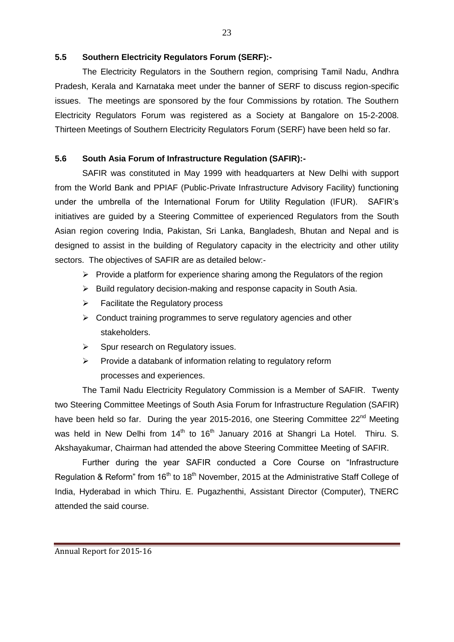### **5.5 Southern Electricity Regulators Forum (SERF):-**

The Electricity Regulators in the Southern region, comprising Tamil Nadu, Andhra Pradesh, Kerala and Karnataka meet under the banner of SERF to discuss region-specific issues. The meetings are sponsored by the four Commissions by rotation. The Southern Electricity Regulators Forum was registered as a Society at Bangalore on 15-2-2008. Thirteen Meetings of Southern Electricity Regulators Forum (SERF) have been held so far.

# **5.6 South Asia Forum of Infrastructure Regulation (SAFIR):-**

SAFIR was constituted in May 1999 with headquarters at New Delhi with support from the World Bank and PPIAF (Public-Private Infrastructure Advisory Facility) functioning under the umbrella of the International Forum for Utility Regulation (IFUR). SAFIR's initiatives are guided by a Steering Committee of experienced Regulators from the South Asian region covering India, Pakistan, Sri Lanka, Bangladesh, Bhutan and Nepal and is designed to assist in the building of Regulatory capacity in the electricity and other utility sectors. The objectives of SAFIR are as detailed below:-

- $\triangleright$  Provide a platform for experience sharing among the Regulators of the region
- $\triangleright$  Build regulatory decision-making and response capacity in South Asia.
- $\triangleright$  Facilitate the Regulatory process
- $\triangleright$  Conduct training programmes to serve regulatory agencies and other stakeholders.
- $\triangleright$  Spur research on Regulatory issues.
- $\triangleright$  Provide a databank of information relating to regulatory reform processes and experiences.

The Tamil Nadu Electricity Regulatory Commission is a Member of SAFIR. Twenty two Steering Committee Meetings of South Asia Forum for Infrastructure Regulation (SAFIR) have been held so far. During the year 2015-2016, one Steering Committee 22<sup>nd</sup> Meeting was held in New Delhi from  $14<sup>th</sup>$  to  $16<sup>th</sup>$  January 2016 at Shangri La Hotel. Thiru. S. Akshayakumar, Chairman had attended the above Steering Committee Meeting of SAFIR.

Further during the year SAFIR conducted a Core Course on "Infrastructure Regulation & Reform" from 16<sup>th</sup> to 18<sup>th</sup> November, 2015 at the Administrative Staff College of India, Hyderabad in which Thiru. E. Pugazhenthi, Assistant Director (Computer), TNERC attended the said course.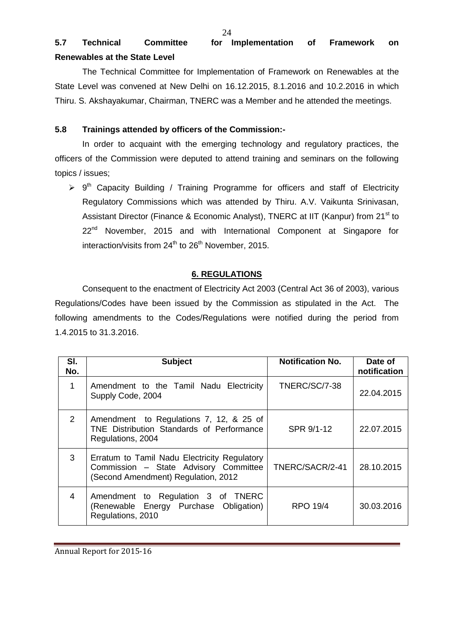# **5.7 Technical Committee for Implementation of Framework on Renewables at the State Level**

The Technical Committee for Implementation of Framework on Renewables at the State Level was convened at New Delhi on 16.12.2015, 8.1.2016 and 10.2.2016 in which Thiru. S. Akshayakumar, Chairman, TNERC was a Member and he attended the meetings.

### **5.8 Trainings attended by officers of the Commission:-**

In order to acquaint with the emerging technology and regulatory practices, the officers of the Commission were deputed to attend training and seminars on the following topics / issues;

 $\triangleright$  9<sup>th</sup> Capacity Building / Training Programme for officers and staff of Electricity Regulatory Commissions which was attended by Thiru. A.V. Vaikunta Srinivasan, Assistant Director (Finance & Economic Analyst), TNERC at IIT (Kanpur) from 21<sup>st</sup> to 22<sup>nd</sup> November, 2015 and with International Component at Singapore for interaction/visits from  $24<sup>th</sup>$  to  $26<sup>th</sup>$  November, 2015.

# **6. REGULATIONS**

Consequent to the enactment of Electricity Act 2003 (Central Act 36 of 2003), various Regulations/Codes have been issued by the Commission as stipulated in the Act. The following amendments to the Codes/Regulations were notified during the period from 1.4.2015 to 31.3.2016.

| SI.<br>No. | <b>Subject</b>                                                                                                               | <b>Notification No.</b> | Date of<br>notification |
|------------|------------------------------------------------------------------------------------------------------------------------------|-------------------------|-------------------------|
| 1          | Amendment to the Tamil Nadu Electricity<br>Supply Code, 2004                                                                 | TNERC/SC/7-38           | 22.04.2015              |
| 2          | Amendment to Regulations 7, 12, & 25 of<br>TNE Distribution Standards of Performance<br>Regulations, 2004                    | SPR 9/1-12              | 22.07.2015              |
| 3          | Erratum to Tamil Nadu Electricity Regulatory<br>Commission - State Advisory Committee<br>(Second Amendment) Regulation, 2012 | TNERC/SACR/2-41         | 28.10.2015              |
| 4          | Amendment to Regulation 3 of TNERC<br>(Renewable Energy Purchase Obligation)<br>Regulations, 2010                            | <b>RPO 19/4</b>         | 30.03.2016              |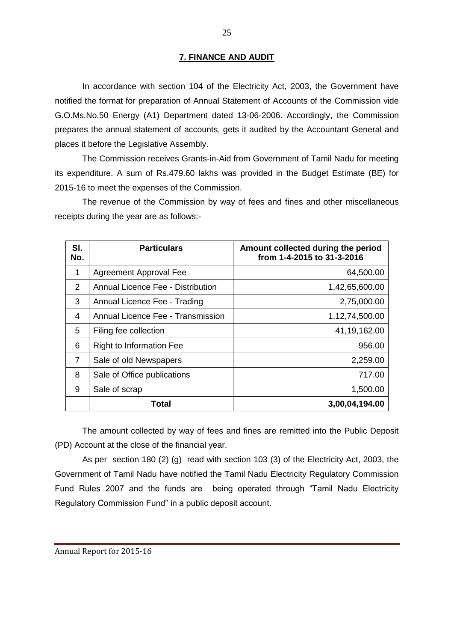### **7. FINANCE AND AUDIT**

In accordance with section 104 of the Electricity Act, 2003, the Government have notified the format for preparation of Annual Statement of Accounts of the Commission vide G.O.Ms.No.50 Energy (A1) Department dated 13-06-2006. Accordingly, the Commission prepares the annual statement of accounts, gets it audited by the Accountant General and places it before the Legislative Assembly.

The Commission receives Grants-in-Aid from Government of Tamil Nadu for meeting its expenditure. A sum of Rs.479.60 lakhs was provided in the Budget Estimate (BE) for 2015-16 to meet the expenses of the Commission.

The revenue of the Commission by way of fees and fines and other miscellaneous receipts during the year are as follows:-

| SI.<br>No.     | <b>Particulars</b>                       | Amount collected during the period<br>from 1-4-2015 to 31-3-2016 |
|----------------|------------------------------------------|------------------------------------------------------------------|
| 1              | <b>Agreement Approval Fee</b>            | 64,500.00                                                        |
| 2              | <b>Annual Licence Fee - Distribution</b> | 1,42,65,600.00                                                   |
| 3              | Annual Licence Fee - Trading             | 2,75,000.00                                                      |
| 4              | Annual Licence Fee - Transmission        | 1,12,74,500.00                                                   |
| 5              | Filing fee collection                    | 41, 19, 162.00                                                   |
| 6              | <b>Right to Information Fee</b>          | 956.00                                                           |
| $\overline{7}$ | Sale of old Newspapers                   | 2,259.00                                                         |
| 8              | Sale of Office publications              | 717.00                                                           |
| 9              | Sale of scrap                            | 1,500.00                                                         |
|                | Total                                    | 3,00,04,194.00                                                   |

The amount collected by way of fees and fines are remitted into the Public Deposit (PD) Account at the close of the financial year.

As per section 180 (2) (g) read with section 103 (3) of the Electricity Act, 2003, the Government of Tamil Nadu have notified the Tamil Nadu Electricity Regulatory Commission Fund Rules 2007 and the funds are being operated through "Tamil Nadu Electricity Regulatory Commission Fund" in a public deposit account.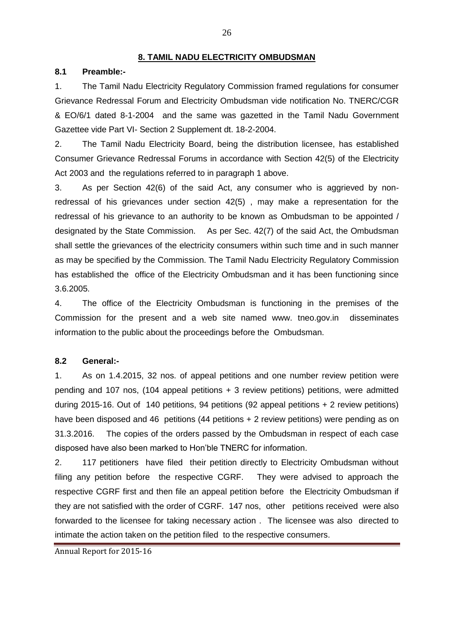#### **8. TAMIL NADU ELECTRICITY OMBUDSMAN**

### **8.1 Preamble:-**

1. The Tamil Nadu Electricity Regulatory Commission framed regulations for consumer Grievance Redressal Forum and Electricity Ombudsman vide notification No. TNERC/CGR & EO/6/1 dated 8-1-2004 and the same was gazetted in the Tamil Nadu Government Gazettee vide Part VI- Section 2 Supplement dt. 18-2-2004.

2. The Tamil Nadu Electricity Board, being the distribution licensee, has established Consumer Grievance Redressal Forums in accordance with Section 42(5) of the Electricity Act 2003 and the regulations referred to in paragraph 1 above.

3. As per Section 42(6) of the said Act, any consumer who is aggrieved by nonredressal of his grievances under section 42(5) , may make a representation for the redressal of his grievance to an authority to be known as Ombudsman to be appointed / designated by the State Commission. As per Sec. 42(7) of the said Act, the Ombudsman shall settle the grievances of the electricity consumers within such time and in such manner as may be specified by the Commission. The Tamil Nadu Electricity Regulatory Commission has established the office of the Electricity Ombudsman and it has been functioning since 3.6.2005.

4. The office of the Electricity Ombudsman is functioning in the premises of the Commission for the present and a web site named www. tneo.gov.in disseminates information to the public about the proceedings before the Ombudsman.

#### **8.2 General:-**

1. As on 1.4.2015, 32 nos. of appeal petitions and one number review petition were pending and 107 nos, (104 appeal petitions + 3 review petitions) petitions, were admitted during 2015-16. Out of 140 petitions, 94 petitions (92 appeal petitions + 2 review petitions) have been disposed and 46 petitions (44 petitions + 2 review petitions) were pending as on 31.3.2016. The copies of the orders passed by the Ombudsman in respect of each case disposed have also been marked to Hon'ble TNERC for information.

2. 117 petitioners have filed their petition directly to Electricity Ombudsman without filing any petition before the respective CGRF. They were advised to approach the respective CGRF first and then file an appeal petition before the Electricity Ombudsman if they are not satisfied with the order of CGRF. 147 nos, other petitions received were also forwarded to the licensee for taking necessary action . The licensee was also directed to intimate the action taken on the petition filed to the respective consumers.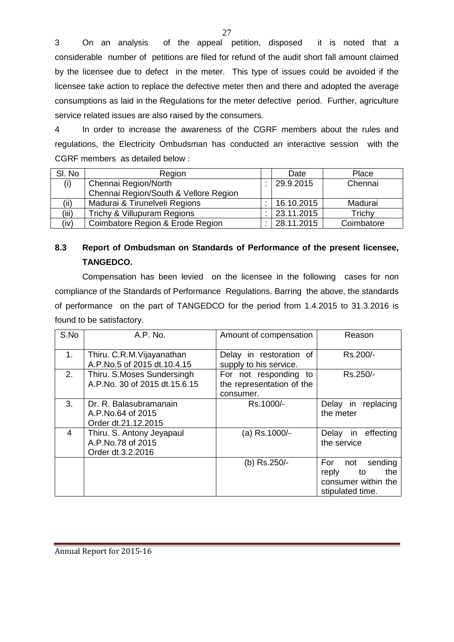3 On an analysis of the appeal petition, disposed it is noted that a considerable number of petitions are filed for refund of the audit short fall amount claimed by the licensee due to defect in the meter. This type of issues could be avoided if the licensee take action to replace the defective meter then and there and adopted the average consumptions as laid in the Regulations for the meter defective period. Further, agriculture service related issues are also raised by the consumers.

4 In order to increase the awareness of the CGRF members about the rules and regulations, the Electricity Ombudsman has conducted an interactive session with the CGRF members as detailed below :

| SI. No | Region                                | Date       | Place      |
|--------|---------------------------------------|------------|------------|
| (i)    | Chennai Region/North                  | 29.9.2015  | Chennai    |
|        | Chennai Region/South & Vellore Region |            |            |
| (ii)   | Madurai & Tirunelveli Regions         | 16.10.2015 | Madurai    |
| (iii)  | Trichy & Villupuram Regions           | 23.11.2015 | Trichy     |
| (iv)   | Coimbatore Region & Erode Region      | 28.11.2015 | Coimbatore |

# **8.3 Report of Ombudsman on Standards of Performance of the present licensee, TANGEDCO.**

Compensation has been levied on the licensee in the following cases for non compliance of the Standards of Performance Regulations. Barring the above, the standards of performance on the part of TANGEDCO for the period from 1.4.2015 to 31.3.2016 is found to be satisfactory.

| S.No | A.P. No.                                                            | Amount of compensation                                          | Reason                                                                                 |
|------|---------------------------------------------------------------------|-----------------------------------------------------------------|----------------------------------------------------------------------------------------|
| 1.   | Thiru. C.R.M. Vijayanathan<br>A.P.No.5 of 2015 dt.10.4.15           | Delay in restoration of<br>supply to his service.               | Rs.200/-                                                                               |
| 2.   | Thiru. S.Moses Sundersingh<br>A.P.No. 30 of 2015 dt.15.6.15         | For not responding to<br>the representation of the<br>consumer. | Rs.250/-                                                                               |
| 3.   | Dr. R. Balasubramanain<br>A.P.No.64 of 2015<br>Order dt.21.12.2015  | Rs.1000/-                                                       | Delay in<br>replacing<br>the meter                                                     |
| 4    | Thiru. S. Antony Jeyapaul<br>A.P.No.78 of 2015<br>Order dt.3.2.2016 | (a) Rs.1000/-                                                   | in effecting<br>Delay<br>the service                                                   |
|      |                                                                     | (b) Rs.250/-                                                    | For<br>sending<br>not<br>reply<br>the<br>to<br>consumer within the<br>stipulated time. |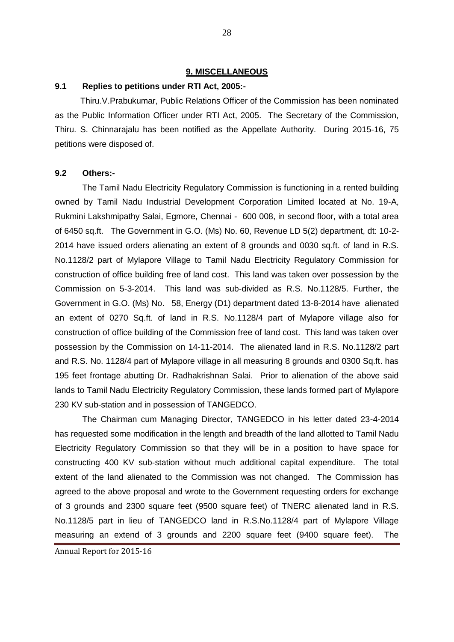#### **9. MISCELLANEOUS**

### **9.1 Replies to petitions under RTI Act, 2005:-**

Thiru.V.Prabukumar, Public Relations Officer of the Commission has been nominated as the Public Information Officer under RTI Act, 2005. The Secretary of the Commission, Thiru. S. Chinnarajalu has been notified as the Appellate Authority. During 2015-16, 75 petitions were disposed of.

# **9.2 Others:-**

The Tamil Nadu Electricity Regulatory Commission is functioning in a rented building owned by Tamil Nadu Industrial Development Corporation Limited located at No. 19-A, Rukmini Lakshmipathy Salai, Egmore, Chennai - 600 008, in second floor, with a total area of 6450 sq.ft. The Government in G.O. (Ms) No. 60, Revenue LD 5(2) department, dt: 10-2- 2014 have issued orders alienating an extent of 8 grounds and 0030 sq.ft. of land in R.S. No.1128/2 part of Mylapore Village to Tamil Nadu Electricity Regulatory Commission for construction of office building free of land cost. This land was taken over possession by the Commission on 5-3-2014. This land was sub-divided as R.S. No.1128/5. Further, the Government in G.O. (Ms) No. 58, Energy (D1) department dated 13-8-2014 have alienated an extent of 0270 Sq.ft. of land in R.S. No.1128/4 part of Mylapore village also for construction of office building of the Commission free of land cost. This land was taken over possession by the Commission on 14-11-2014. The alienated land in R.S. No.1128/2 part and R.S. No. 1128/4 part of Mylapore village in all measuring 8 grounds and 0300 Sq.ft. has 195 feet frontage abutting Dr. Radhakrishnan Salai. Prior to alienation of the above said lands to Tamil Nadu Electricity Regulatory Commission, these lands formed part of Mylapore 230 KV sub-station and in possession of TANGEDCO.

The Chairman cum Managing Director, TANGEDCO in his letter dated 23-4-2014 has requested some modification in the length and breadth of the land allotted to Tamil Nadu Electricity Regulatory Commission so that they will be in a position to have space for constructing 400 KV sub-station without much additional capital expenditure. The total extent of the land alienated to the Commission was not changed. The Commission has agreed to the above proposal and wrote to the Government requesting orders for exchange of 3 grounds and 2300 square feet (9500 square feet) of TNERC alienated land in R.S. No.1128/5 part in lieu of TANGEDCO land in R.S.No.1128/4 part of Mylapore Village measuring an extend of 3 grounds and 2200 square feet (9400 square feet). The